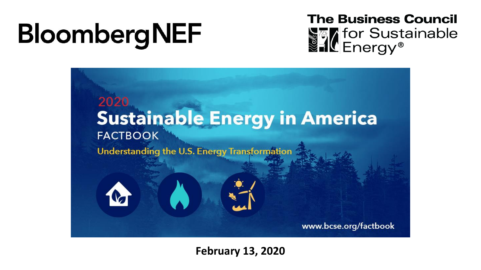# **BloombergNEF**

**The Business Council SEX** for Sustainable



**February 13, 2020**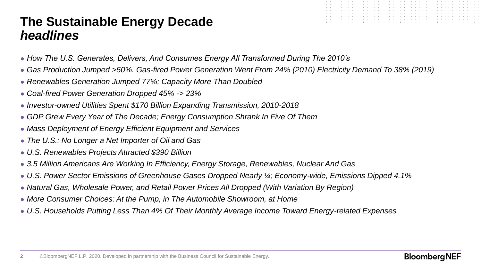# **The Sustainable Energy Decade** *headlines*

- *How The U.S. Generates, Delivers, And Consumes Energy All Transformed During The 2010's*
- *Gas Production Jumped >50%. Gas-fired Power Generation Went From 24% (2010) Electricity Demand To 38% (2019)*
- *Renewables Generation Jumped 77%; Capacity More Than Doubled*
- *Coal-fired Power Generation Dropped 45% -> 23%*
- *Investor-owned Utilities Spent \$170 Billion Expanding Transmission, 2010-2018*
- *GDP Grew Every Year of The Decade; Energy Consumption Shrank In Five Of Them*
- *Mass Deployment of Energy Efficient Equipment and Services*
- *The U.S.: No Longer a Net Importer of Oil and Gas*
- *U.S. Renewables Projects Attracted \$390 Billion*
- *3.5 Million Americans Are Working In Efficiency, Energy Storage, Renewables, Nuclear And Gas*
- *U.S. Power Sector Emissions of Greenhouse Gases Dropped Nearly ¼; Economy-wide, Emissions Dipped 4.1%*
- *Natural Gas, Wholesale Power, and Retail Power Prices All Dropped (With Variation By Region)*
- More Consumer Choices: At the Pump, in The Automobile Showroom, at Home
- *U.S. Households Putting Less Than 4% Of Their Monthly Average Income Toward Energy-related Expenses*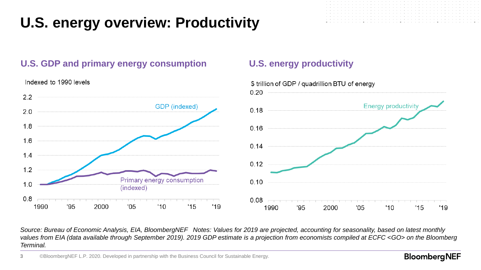# **U.S. energy overview: Productivity**

### **U.S. GDP and primary energy consumption U.S. energy productivity**



Indexed to 1990 levels

*Source: Bureau of Economic Analysis, EIA, BloombergNEF Notes: Values for 2019 are projected, accounting for seasonality, based on latest monthly values from EIA (data available through September 2019). 2019 GDP estimate is a projection from economists compiled at ECFC <GO> on the Bloomberg Terminal.*

#### **BloombergNEF**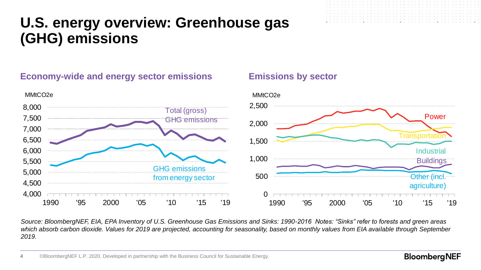# **U.S. energy overview: Greenhouse gas (GHG) emissions**





*Source: BloombergNEF, EIA, EPA Inventory of U.S. Greenhouse Gas Emissions and Sinks: 1990-2016 Notes: "Sinks" refer to forests and green areas which absorb carbon dioxide. Values for 2019 are projected, accounting for seasonality, based on monthly values from EIA available through September 2019.*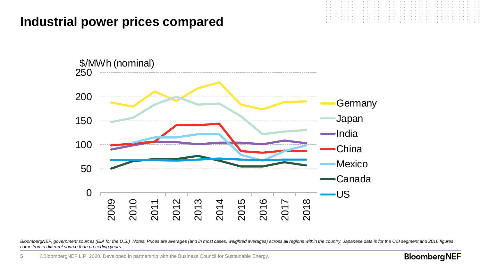## **Industrial power prices compared**



BloombergNEF, government sources (EIA for the U.S.) Notes: Prices are averages (and in most cases, weighted averages) across all regions within the country. Japanese data is for the C&I segment and 2016 figures *come from a different source than preceding years.*

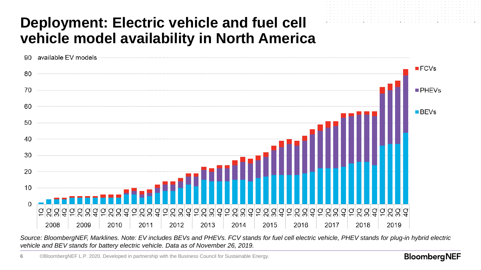# **Deployment: Electric vehicle and fuel cell vehicle model availability in North America**



*Source: BloombergNEF, Marklines. Note: EV includes BEVs and PHEVs. FCV stands for fuel cell electric vehicle, PHEV stands for plug-in hybrid electric vehicle and BEV stands for battery electric vehicle. Data as of November 26, 2019.*

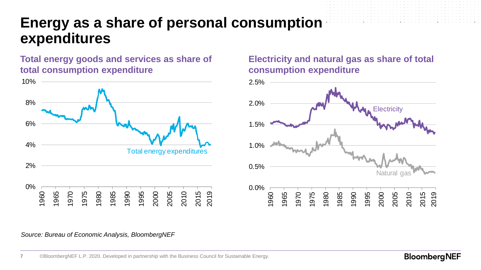# **Energy as a share of personal consumption expenditures**

**Total energy goods and services as share of total consumption expenditure**



### **Electricity and natural gas as share of total consumption expenditure**



*Source: Bureau of Economic Analysis, BloombergNEF*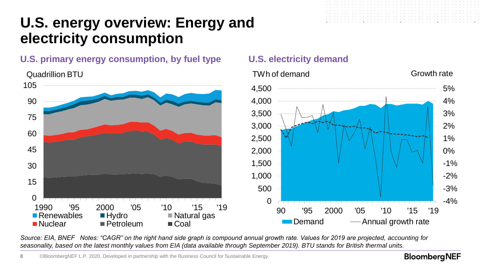# **U.S. energy overview: Energy and electricity consumption**

### **U.S. primary energy consumption, by fuel type U.S. electricity demand**



*Source: EIA, BNEF Notes: "CAGR" on the right hand side graph is compound annual growth rate. Values for 2019 are projected, accounting for seasonality, based on the latest monthly values from EIA (data available through September 2019). BTU stands for British thermal units.* 

**8** ©BloombergNEF L.P. 2020. Developed in partnership with the Business Council for Sustainable Energy.

#### **BloombergNEF**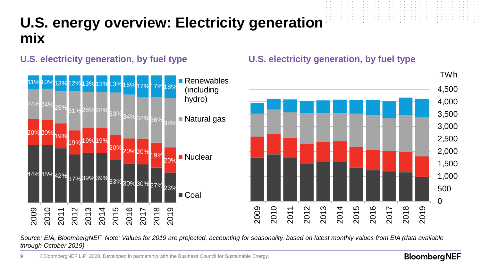# **U.S. energy overview: Electricity generation mix**



### **U.S. electricity generation, by fuel type U.S. electricity generation, by fuel type**



#### *Source: EIA, BloombergNEF Note: Values for 2019 are projected, accounting for seasonality, based on latest monthly values from EIA (data available through October 2019)*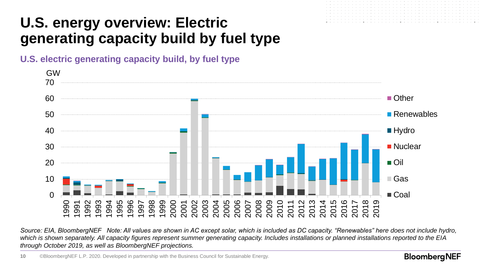# **U.S. energy overview: Electric generating capacity build by fuel type**





*Source: EIA, BloombergNEF Note: All values are shown in AC except solar, which is included as DC capacity. "Renewables" here does not include hydro, which is shown separately. All capacity figures represent summer generating capacity. Includes installations or planned installations reported to the EIA through October 2019, as well as BloombergNEF projections.*

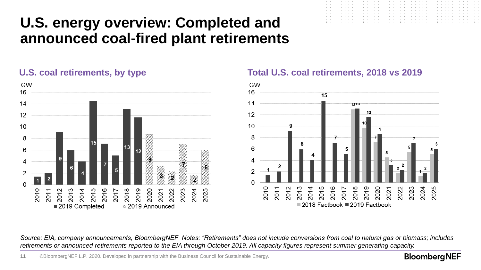# **U.S. energy overview: Completed and announced coal-fired plant retirements**





#### **U.S. coal retirements, by type Total U.S. coal retirements, 2018 vs 2019**



*Source: EIA, company announcements, BloombergNEF Notes: "Retirements" does not include conversions from coal to natural gas or biomass; includes retirements or announced retirements reported to the EIA through October 2019. All capacity figures represent summer generating capacity.*